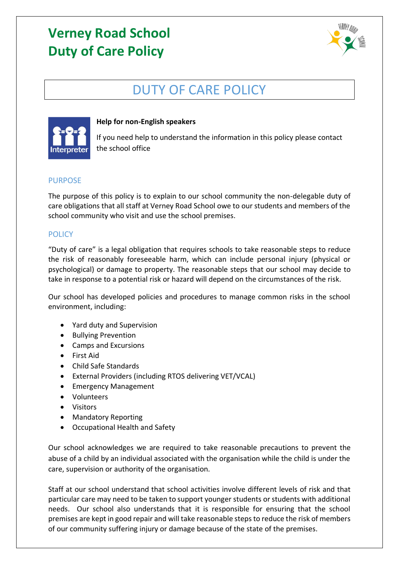# **Verney Road School Duty of Care Policy**



## DUTY OF CARE POLICY



### **Help for non-English speakers**

If you need help to understand the information in this policy please contact the school office

### PURPOSE

The purpose of this policy is to explain to our school community the non-delegable duty of care obligations that all staff at Verney Road School owe to our students and members of the school community who visit and use the school premises.

### **POLICY**

"Duty of care" is a legal obligation that requires schools to take reasonable steps to reduce the risk of reasonably foreseeable harm, which can include personal injury (physical or psychological) or damage to property. The reasonable steps that our school may decide to take in response to a potential risk or hazard will depend on the circumstances of the risk.

Our school has developed policies and procedures to manage common risks in the school environment, including:

- Yard duty and Supervision
- Bullying Prevention
- Camps and Excursions
- First Aid
- Child Safe Standards
- External Providers (including RTOS delivering VET/VCAL)
- Emergency Management
- Volunteers
- Visitors
- Mandatory Reporting
- Occupational Health and Safety

Our school acknowledges we are required to take reasonable precautions to prevent the abuse of a child by an individual associated with the organisation while the child is under the care, supervision or authority of the organisation.

Staff at our school understand that school activities involve different levels of risk and that particular care may need to be taken to support younger students or students with additional needs. Our school also understands that it is responsible for ensuring that the school premises are kept in good repair and will take reasonable steps to reduce the risk of members of our community suffering injury or damage because of the state of the premises.